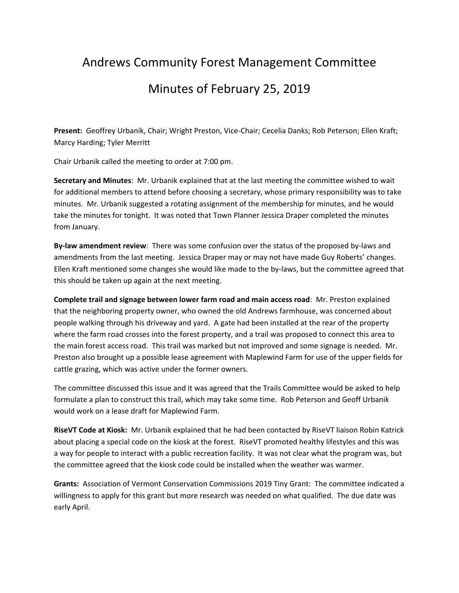## Andrews Community Forest Management Committee Minutes of February 25, 2019

**Present:** Geoffrey Urbanik, Chair; Wright Preston, Vice‐Chair; Cecelia Danks; Rob Peterson; Ellen Kraft; Marcy Harding; Tyler Merritt

Chair Urbanik called the meeting to order at 7:00 pm.

**Secretary and Minutes**: Mr. Urbanik explained that at the last meeting the committee wished to wait for additional members to attend before choosing a secretary, whose primary responsibility was to take minutes. Mr. Urbanik suggested a rotating assignment of the membership for minutes, and he would take the minutes for tonight. It was noted that Town Planner Jessica Draper completed the minutes from January.

**By‐law amendment review**: There was some confusion over the status of the proposed by‐laws and amendments from the last meeting. Jessica Draper may or may not have made Guy Roberts' changes. Ellen Kraft mentioned some changes she would like made to the by‐laws, but the committee agreed that this should be taken up again at the next meeting.

**Complete trail and signage between lower farm road and main access road**: Mr. Preston explained that the neighboring property owner, who owned the old Andrews farmhouse, was concerned about people walking through his driveway and yard. A gate had been installed at the rear of the property where the farm road crosses into the forest property, and a trail was proposed to connect this area to the main forest access road. This trail was marked but not improved and some signage is needed. Mr. Preston also brought up a possible lease agreement with Maplewind Farm for use of the upper fields for cattle grazing, which was active under the former owners.

The committee discussed this issue and it was agreed that the Trails Committee would be asked to help formulate a plan to construct this trail, which may take some time. Rob Peterson and Geoff Urbanik would work on a lease draft for Maplewind Farm.

**RiseVT Code at Kiosk:** Mr. Urbanik explained that he had been contacted by RiseVT liaison Robin Katrick about placing a special code on the kiosk at the forest. RiseVT promoted healthy lifestyles and this was a way for people to interact with a public recreation facility. It was not clear what the program was, but the committee agreed that the kiosk code could be installed when the weather was warmer.

**Grants:** Association of Vermont Conservation Commissions 2019 Tiny Grant: The committee indicated a willingness to apply for this grant but more research was needed on what qualified. The due date was early April.